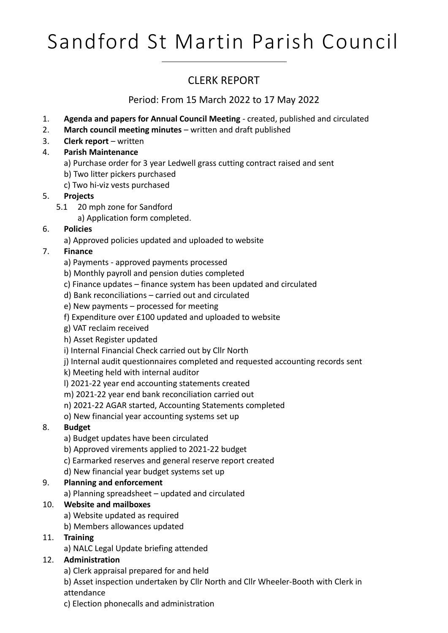# Sandford St Martin Parish Council

### CLERK REPORT

Period: From 15 March 2022 to 17 May 2022

- 1. **Agenda and papers for Annual Council Meeting** created, published and circulated
- 2. **March council meeting minutes** written and draft published
- 3. **Clerk report**  written
- 4. **Parish Maintenance**
	- a) Purchase order for 3 year Ledwell grass cutting contract raised and sent
	- b) Two litter pickers purchased
	- c) Two hi-viz vests purchased

#### 5. **Projects**

- 5.1 20 mph zone for Sandford
	- a) Application form completed.

#### 6. **Policies**

a) Approved policies updated and uploaded to website

#### 7. **Finance**

- a) Payments approved payments processed
- b) Monthly payroll and pension duties completed
- c) Finance updates finance system has been updated and circulated
- d) Bank reconciliations carried out and circulated
- e) New payments processed for meeting
- f) Expenditure over £100 updated and uploaded to website
- g) VAT reclaim received
- h) Asset Register updated
- i) Internal Financial Check carried out by Cllr North
- j) Internal audit questionnaires completed and requested accounting records sent
- k) Meeting held with internal auditor
- l) 2021-22 year end accounting statements created
- m) 2021-22 year end bank reconciliation carried out
- n) 2021-22 AGAR started, Accounting Statements completed
- o) New financial year accounting systems set up

#### 8. **Budget**

- a) Budget updates have been circulated
- b) Approved virements applied to 2021-22 budget
- c) Earmarked reserves and general reserve report created
- d) New financial year budget systems set up

#### 9. **Planning and enforcement**

a) Planning spreadsheet – updated and circulated

#### 10. **Website and mailboxes**

- a) Website updated as required
- b) Members allowances updated

#### 11. **Training**

a) NALC Legal Update briefing attended

#### 12. **Administration**

- a) Clerk appraisal prepared for and held
- b) Asset inspection undertaken by Cllr North and Cllr Wheeler-Booth with Clerk in attendance
- c) Election phonecalls and administration